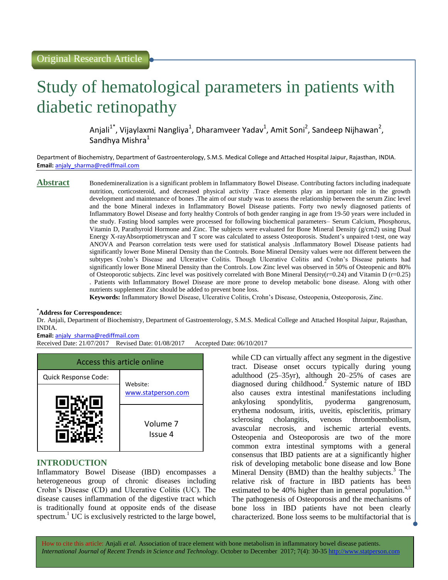# Study of hematological parameters in patients with diabetic retinopathy

Anjali<sup>1\*</sup>, Vijaylaxmi Nangliya<sup>1</sup>, Dharamveer Yadav<sup>1</sup>, Amit Soni<sup>2</sup>, Sandeep Nijhawan<sup>2</sup>, Sandhya Mishra<sup>1</sup>

Department of Biochemistry, Department of Gastroenterology, S.M.S. Medical College and Attached Hospital Jaipur, Rajasthan, INDIA. **Email:** [anjaly\\_sharma@rediffmail.com](mailto:anjaly_sharma@rediffmail.com)

**Abstract** Bonedemineralization is a significant problem in Inflammatory Bowel Disease. Contributing factors including inadequate nutrition, corticosteroid, and decreased physical activity .Trace elements play an important role in the growth development and maintenance of bones .The aim of our study was to assess the relationship between the serum Zinc level and the bone Mineral indexes in Inflammatory Bowel Disease patients. Forty two newly diagnosed patients of Inflammatory Bowel Disease and forty healthy Controls of both gender ranging in age from 19-50 years were included in the study. Fasting blood samples were processed for following biochemical parameters– Serum Calcium, Phosphorus, Vitamin D, Parathyroid Hormone and Zinc. The subjects were evaluated for Bone Mineral Density (g/cm2) using Dual Energy X-rayAbsorptiometryscan and T score was calculated to assess Osteoporosis. Student's unpaired t-test, one way ANOVA and Pearson correlation tests were used for statistical analysis .Inflammatory Bowel Disease patients had significantly lower Bone Mineral Density than the Controls. Bone Mineral Density values were not different between the subtypes Crohn's Disease and Ulcerative Colitis. Though Ulcerative Colitis and Crohn's Disease patients had significantly lower Bone Mineral Density than the Controls. Low Zinc level was observed in 50% of Osteopenic and 80% of Osteoporotic subjects. Zinc level was positively correlated with Bone Mineral Density( $r=0.24$ ) and Vitamin D ( $r=0.25$ ) . Patients with Inflammatory Bowel Disease are more prone to develop metabolic bone disease. Along with other nutrients supplement Zinc should be added to prevent bone loss.

**Keywords:** Inflammatory Bowel Disease, Ulcerative Colitis, Crohn's Disease, Osteopenia, Osteoporosis, Zinc.

## **\*Address for Correspondence:**

Dr. Anjali, Department of Biochemistry, Department of Gastroenterology, S.M.S. Medical College and Attached Hospital Jaipur, Rajasthan, INDIA.

**Email:** [anjaly\\_sharma@rediffmail.com](mailto:anjaly_sharma@rediffmail.com)

Received Date: 21/07/2017 Revised Date: 01/08/2017 Accepted Date: 06/10/2017



# **INTRODUCTION**

Inflammatory Bowel Disease (IBD) encompasses a heterogeneous group of chronic diseases including Crohn's Disease (CD) and Ulcerative Colitis (UC). The disease causes inflammation of the digestive tract which is traditionally found at opposite ends of the disease spectrum.<sup>1</sup> UC is exclusively restricted to the large bowel,

while CD can virtually affect any segment in the digestive tract. Disease onset occurs typically during young adulthood (25–35yr), although 20–25% of cases are diagnosed during childhood.<sup>2</sup> Systemic nature of IBD also causes extra intestinal manifestations including ankylosing spondylitis, pyoderma gangrenosum, erythema nodosum, iritis, uveitis, episcleritis, primary sclerosing cholangitis, venous thromboembolism, avascular necrosis, and ischemic arterial events. Osteopenia and Osteoporosis are two of the more common extra intestinal symptoms with a general consensus that IBD patients are at a significantly higher risk of developing metabolic bone disease and low Bone Mineral Density  $(BMD)$  than the healthy subjects.<sup>3</sup> The relative risk of fracture in IBD patients has been estimated to be 40% higher than in general population.<sup>4,5</sup> The pathogenesis of Osteoporosis and the mechanisms of bone loss in IBD patients have not been clearly characterized. Bone loss seems to be multifactorial that is

How to cite this article: Anjali *et al.* Association of trace element with bone metabolism in inflammatory bowel disease patients. *International Journal of Recent Trends in Science and Technology.* October to December 2017; 7(4): 30-35 http://www.statperson.com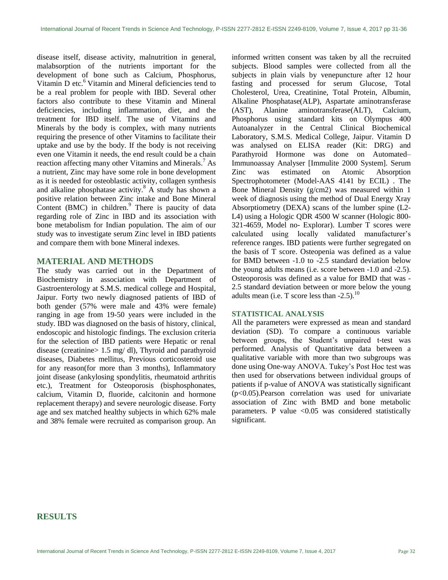disease itself, disease activity, malnutrition in general, malabsorption of the nutrients important for the development of bone such as Calcium, Phosphorus, Vitamin D etc.<sup>6</sup> Vitamin and Mineral deficiencies tend to be a real problem for people with IBD. Several other factors also contribute to these Vitamin and Mineral deficiencies, including inflammation, diet, and the treatment for IBD itself. The use of Vitamins and Minerals by the body is complex, with many nutrients requiring the presence of other Vitamins to facilitate their uptake and use by the body. If the body is not receiving even one Vitamin it needs, the end result could be a chain reaction affecting many other Vitamins and Minerals.<sup>7</sup> As a nutrient, Zinc may have some role in bone development as it is needed for osteoblastic activity, collagen synthesis and alkaline phosphatase activity.<sup>8</sup> A study has shown a positive relation between Zinc intake and Bone Mineral Content (BMC) in children.<sup>9</sup> There is paucity of data regarding role of Zinc in IBD and its association with bone metabolism for Indian population. The aim of our study was to investigate serum Zinc level in IBD patients and compare them with bone Mineral indexes.

## **MATERIAL AND METHODS**

The study was carried out in the Department of Biochemistry in association with Department of Gastroenterology at S.M.S. medical college and Hospital, Jaipur. Forty two newly diagnosed patients of IBD of both gender (57% were male and 43% were female) ranging in age from 19-50 years were included in the study. IBD was diagnosed on the basis of history, clinical, endoscopic and histologic findings. The exclusion criteria for the selection of IBD patients were Hepatic or renal disease (creatinine> 1.5 mg/ dl), Thyroid and parathyroid diseases, Diabetes mellitus, Previous corticosteroid use for any reason(for more than 3 months), Inflammatory joint disease (ankylosing spondylitis, rheumatoid arthritis etc.), Treatment for Osteoporosis (bisphosphonates, calcium, Vitamin D, fluoride, calcitonin and hormone replacement therapy) and severe neurologic disease. Forty age and sex matched healthy subjects in which 62% male and 38% female were recruited as comparison group. An informed written consent was taken by all the recruited subjects. Blood samples were collected from all the subjects in plain vials by venepuncture after 12 hour fasting and processed for serum Glucose, Total Cholesterol, Urea, Creatinine, Total Protein, Albumin, Alkaline Phosphatase(ALP), Aspartate aminotransferase (AST), Alanine aminotransferase(ALT), Calcium, Phosphorus using standard kits on Olympus 400 Autoanalyzer in the Central Clinical Biochemical Laboratory, S.M.S. Medical College, Jaipur. Vitamin D was analysed on ELISA reader (Kit: DRG) and Parathyroid Hormone was done on Automated– Immunoassay Analyser [Immulite 2000 System]. Serum Zinc was estimated on Atomic Absorption Spectrophotometer (Model-AAS 4141 by ECIL) . The Bone Mineral Density (g/cm2) was measured within 1 week of diagnosis using the method of Dual Energy Xray Absorptiometry (DEXA) scans of the lumber spine (L2- L4) using a Hologic QDR 4500 W scanner (Hologic 800- 321-4659, Model no- Explorar). Lumber T scores were calculated using locally validated manufacturer's reference ranges. IBD patients were further segregated on the basis of T score. Osteopenia was defined as a value for BMD between -1.0 to -2.5 standard deviation below the young adults means (i.e. score between -1.0 and -2.5). Osteoporosis was defined as a value for BMD that was - 2.5 standard deviation between or more below the young adults mean (i.e. T score less than  $-2.5$ ).<sup>10</sup>

## **STATISTICAL ANALYSIS**

All the parameters were expressed as mean and standard deviation (SD). To compare a continuous variable between groups, the Student's unpaired t-test was performed. Analysis of Quantitative data between a qualitative variable with more than two subgroups was done using One-way ANOVA. Tukey's Post Hoc test was then used for observations between individual groups of patients if p-value of ANOVA was statistically significant (p<0.05).Pearson correlation was used for univariate association of Zinc with BMD and bone metabolic parameters. P value  $< 0.05$  was considered statistically significant.

# **RESULTS**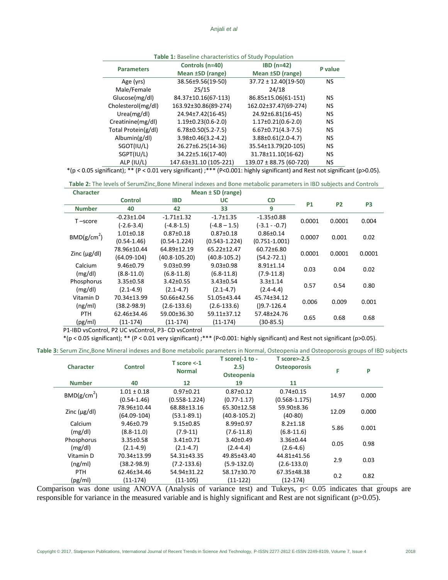|                     | Controls (n=40)            | $IBD(n=42)$                 | P value   |  |  |  |  |
|---------------------|----------------------------|-----------------------------|-----------|--|--|--|--|
| <b>Parameters</b>   | Mean ±SD (range)           | Mean ±SD (range)            |           |  |  |  |  |
| Age (yrs)           | 38.56±9.56(19-50)          | $37.72 \pm 12.40(19-50)$    | <b>NS</b> |  |  |  |  |
| Male/Female         | 25/15                      | 24/18                       |           |  |  |  |  |
| Glucose(mg/dl)      | 84.37±10.16(67-113)        | 86.85±15.06(61-151)         | NS        |  |  |  |  |
| Cholesterol(mg/dl)  | 163.92±30.86(89-274)       | 162.02±37.47(69-274)        | <b>NS</b> |  |  |  |  |
| Urea(mg/dl)         | 24.94±7.42(16-45)          | 24.92±6.81(16-45)           | <b>NS</b> |  |  |  |  |
| Creatinine(mg/dl)   | $1.19\pm0.23(0.6-2.0)$     | $1.17\pm0.21(0.6-2.0)$      | <b>NS</b> |  |  |  |  |
| Total Protein(g/dl) | $6.78 \pm 0.50(5.2 - 7.5)$ | $6.67 \pm 0.71 (4.3 - 7.5)$ | <b>NS</b> |  |  |  |  |
| Albumin(g/dl)       | $3.98 \pm 0.46(3.2 - 4.2)$ | $3.88 \pm 0.61(2.0 - 4.7)$  | <b>NS</b> |  |  |  |  |
| SGOT(IU/L)          | 26.27±6.25(14-36)          | 35.54±13.79(20-105)         | <b>NS</b> |  |  |  |  |
| SGPT(IU/L)          | 34.22±5.16(17-40)          | 31.78±11.10(16-62)          | <b>NS</b> |  |  |  |  |
| ALP (IU/L)          | 147.63±31.10 (105-221)     | $139.07 \pm 88.75(60-720)$  | NS        |  |  |  |  |

#### **Table 1:** Baseline characteristics of Study Population

\*(p < 0.05 significant); \*\* (P < 0.01 very significant) ;\*\*\* (P<0.001: highly significant) and Rest not significant (p>0.05).

**Table 2:** The levels of SerumZinc,Bone Mineral indexes and Bone metabolic parameters in IBD subjects and Controls **Character Mean ± SD (range)**

| Character               |                  | <b>Nean I SD (range)</b> |                   |                   |           |           |                |
|-------------------------|------------------|--------------------------|-------------------|-------------------|-----------|-----------|----------------|
|                         | <b>Control</b>   | <b>IBD</b>               | <b>UC</b>         | <b>CD</b>         | <b>P1</b> | <b>P2</b> | P <sub>3</sub> |
| <b>Number</b>           | 40               | 42                       | 33                | 9                 |           |           |                |
| $T$ –score              | $-0.23 \pm 1.04$ | $-1.71 \pm 1.32$         | $-1.7 \pm 1.35$   | $-1.35\pm0.88$    | 0.0001    | 0.0001    | 0.004          |
|                         | $(-2.6 - 3.4)$   | $(-4.8 - 1.5)$           | $(-4.8 - 1.5)$    | $(-3.1 - -0.7)$   |           |           |                |
| BMD(g/cm <sup>2</sup> ) | $1.01 \pm 0.18$  | $0.87 \pm 0.18$          | $0.87 \pm 0.18$   | $0.86 \pm 0.14$   | 0.0007    | 0.001     | 0.02           |
|                         | $(0.54 - 1.46)$  | $(0.54 - 1.224)$         | $(0.543 - 1.224)$ | $(0.751 - 1.001)$ |           |           |                |
|                         | 78.96±10.44      | 64.89±12.19              | 65.22±12.47       | 60.72±6.80        | 0.0001    | 0.0001    | 0.0001         |
| Zinc $(\mu g/d)$        | $(64.09-104)$    | $(40.8 - 105.20)$        | $(40.8 - 105.2)$  | $(54.2 - 72.1)$   |           |           |                |
| Calcium                 | $9.46 \pm 0.79$  | $9.03 \pm 0.99$          | $9.03 \pm 0.98$   | $8.91 \pm 1.14$   | 0.03      | 0.04      | 0.02           |
| (mg/dl)                 | $(8.8 - 11.0)$   | $(6.8 - 11.8)$           | $(6.8 - 11.8)$    | $(7.9-11.8)$      |           |           |                |
| Phosphorus              | $3.35 \pm 0.58$  | $3.42 \pm 0.55$          | $3.43 \pm 0.54$   | $3.3 \pm 1.14$    | 0.57      | 0.54      | 0.80           |
| (mg/dl)                 | $(2.1 - 4.9)$    | $(2.1 - 4.7)$            | $(2.1 - 4.7)$     | $(2.4 - 4.4)$     |           |           |                |
| Vitamin D               | 70.34±13.99      | 50.66±42.56              | 51.05±43.44       | 45.74±34.12       | 0.006     | 0.009     | 0.001          |
| (ng/ml)                 | $(38.2 - 98.9)$  | $(2.6 - 133.6)$          | $(2.6 - 133.6)$   | $( )9.7 - 126.4 $ |           |           |                |
| PTH                     | 62.46±34.46      | 59.00±36.30              | 59.11±37.12       | 57.48±24.76       | 0.65      | 0.68      | 0.68           |
| (pg/ml)                 | $(11-174)$       | $(11 - 174)$             | $(11-174)$        | $(30-85.5)$       |           |           |                |

P1-IBD vsControl, P2 UC vsControl, P3- CD vsControl

\*(p < 0.05 significant); \*\* (P < 0.01 very significant) ;\*\*\* (P<0.001: highly significant) and Rest not significant (p>0.05).

**Table 3:** Serum Zinc,Bone Mineral indexes and Bone metabolic parameters in Normal, Osteopenia and Osteoporosis groups of IBD subjects

| <b>Character</b>        | <b>Control</b>  | $T$ score $\leq$ -1<br><b>Normal</b> | T score(-1 to -<br>2.5)<br>Osteopenia | $T$ score $>$ -2.5<br><b>Osteoporosis</b> | F     | P     |
|-------------------------|-----------------|--------------------------------------|---------------------------------------|-------------------------------------------|-------|-------|
| <b>Number</b>           | 40              | 12                                   | 19                                    | 11                                        |       |       |
| BMD(g/cm <sup>2</sup> ) | $1.01 \pm 0.18$ | $0.97 \pm 0.21$                      | $0.87 + 0.12$                         | $0.74 \pm 0.15$                           | 14.97 | 0.000 |
|                         | $(0.54 - 1.46)$ | $(0.558 - 1.224)$                    | $(0.77 - 1.17)$                       | $(0.568 - 1.175)$                         |       |       |
| Zinc $(\mu g/d)$        | 78.96±10.44     | 68.88±13.16                          | 65.30±12.58                           | 59.90±8.36                                | 12.09 | 0.000 |
|                         | $(64.09-104)$   | $(53.1 - 89.1)$                      | $(40.8 - 105.2)$                      | $(40-80)$                                 |       |       |
| Calcium                 | $9.46 \pm 0.79$ | $9.15 \pm 0.85$                      | $8.99 \pm 0.97$                       | $8.2 \pm 1.18$                            | 5.86  | 0.001 |
| (mg/dl)                 | $(8.8 - 11.0)$  | $(7.9-11)$                           | $(7.6-11.8)$                          | $(6.8-11.6)$                              |       |       |
| Phosphorus              | $3.35 \pm 0.58$ | $3.41 \pm 0.71$                      | $3.40 \pm 0.49$                       | 3.36±0.44                                 | 0.05  | 0.98  |
| (mg/dl)                 | $(2.1 - 4.9)$   | $(2.1 - 4.7)$                        | $(2.4 - 4.4)$                         | $(2.6 - 4.6)$                             |       |       |
| Vitamin D               | 70.34±13.99     | 54.31±43.35                          | 49.85±43.40                           | 44.81±41.56                               | 2.9   | 0.03  |
| (ng/ml)                 | $(38.2 - 98.9)$ | $(7.2 - 133.6)$                      | $(5.9 - 132.0)$                       | $(2.6 - 133.0)$                           |       |       |
| PTH                     | 62.46±34.46     | 54.94±31.22                          | 58.17±30.70                           | 67.35±48.38                               | 0.2   | 0.82  |
| (pg/ml)                 | $(11-174)$      | $(11-105)$                           | $(11-122)$                            | $(12-174)$                                |       |       |

Comparison was done using ANOVA (Analysis of variance test) and Tukeys, p< 0.05 indicates that groups are responsible for variance in the measured variable and is highly significant and Rest are not significant (p>0.05).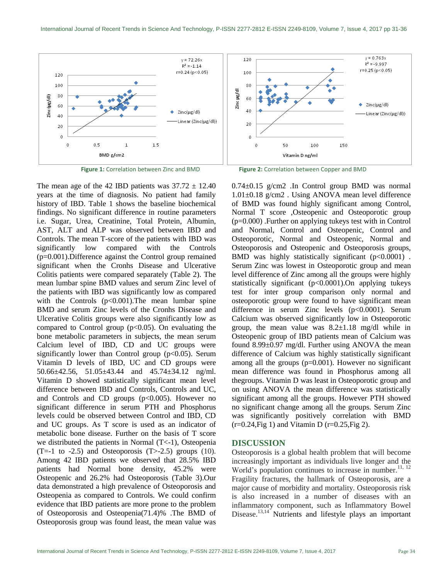

The mean age of the 42 IBD patients was  $37.72 \pm 12.40$ years at the time of diagnosis. No patient had family history of IBD. Table 1 shows the baseline biochemical findings. No significant difference in routine parameters i.e. Sugar, Urea, Creatinine, Total Protein, Albumin, AST, ALT and ALP was observed between IBD and Controls. The mean T-score of the patients with IBD was significantly low compared with the Controls (p=0.001).Difference against the Control group remained significant when the Cronhs Disease and Ulcerative Colitis patients were compared separately (Table 2). The mean lumbar spine BMD values and serum Zinc level of the patients with IBD was significantly low as compared with the Controls  $(p<0.001)$ . The mean lumbar spine BMD and serum Zinc levels of the Cronhs Disease and Ulcerative Colitis groups were also significantly low as compared to Control group  $(p<0.05)$ . On evaluating the bone metabolic parameters in subjects, the mean serum Calcium level of IBD, CD and UC groups were significantly lower than Control group ( $p<0.05$ ). Serum Vitamin D levels of IBD, UC and CD groups were 50.66±42.56, 51.05±43.44 and 45.74±34.12 ng/ml. Vitamin D showed statistically significant mean level difference between IBD and Controls, Controls and UC, and Controls and CD groups  $(p<0.005)$ . However no significant difference in serum PTH and Phosphorus levels could be observed between Control and IBD, CD and UC groups. As T score is used as an indicator of metabolic bone disease. Further on the basis of T score we distributed the patients in Normal (T<-1), Osteopenia  $(T=-1 \text{ to } -2.5)$  and Osteoporosis  $(T>-2.5)$  groups (10). Among 42 IBD patients we observed that 28.5% IBD patients had Normal bone density, 45.2% were Osteopenic and 26.2% had Osteoporosis (Table 3).Our data demonstrated a high prevalence of Osteoporosis and Osteopenia as compared to Controls. We could confirm evidence that IBD patients are more prone to the problem of Osteoporosis and Osteopenia(71.4)% .The BMD of Osteoporosis group was found least, the mean value was

**Figure 1:** Correlation between Zinc and BMD **Figure 2:** Correlation between Copper and BMD

0.74±0.15 g/cm2 .In Control group BMD was normal 1.01±0.18 g/cm2 . Using ANOVA mean level difference of BMD was found highly significant among Control, Normal T score ,Osteopenic and Osteoporotic group (p=0.000) .Further on applying tukeys test with in Control and Normal, Control and Osteopenic, Control and Osteoporotic, Normal and Osteopenic, Normal and Osteoporosis and Osteopenic and Osteoporosis groups, BMD was highly statistically significant  $(p<0.0001)$ . Serum Zinc was lowest in Osteoporotic group and mean level difference of Zinc among all the groups were highly statistically significant (p<0.0001).On applying tukeys test for inter group comparison only normal and osteoporotic group were found to have significant mean difference in serum Zinc levels (p<0.0001). Serum Calcium was observed significantly low in Osteoporotic group, the mean value was  $8.2 \pm 1.18$  mg/dl while in Osteopenic group of IBD patients mean of Calcium was found 8.99±0.97 mg/dl. Further using ANOVA the mean difference of Calcium was highly statistically significant among all the groups (p=0.001). However no significant mean difference was found in Phosphorus among all thegroups. Vitamin D was least in Osteoporotic group and on using ANOVA the mean difference was statistically significant among all the groups. However PTH showed no significant change among all the groups. Serum Zinc was significantly positively correlation with BMD  $(r=0.24,$  Fig 1) and Vitamin D  $(r=0.25,$  Fig 2).

## **DISCUSSION**

Osteoporosis is a global health problem that will become increasingly important as individuals live longer and the World's population continues to increase in number.<sup>11, 12</sup> Fragility fractures, the hallmark of Osteoporosis, are a major cause of morbidity and mortality. Osteoporosis risk is also increased in a number of diseases with an inflammatory component, such as Inflammatory Bowel Disease.<sup>13,14</sup> Nutrients and lifestyle plays an important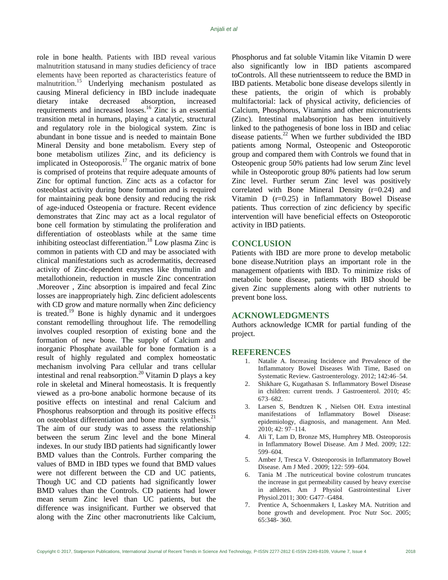role in bone health. Patients with IBD reveal various malnutrition statusand in many studies deficiency of trace elements have been reported as characteristics feature of malnutrition.<sup>15</sup> Underlying mechanism postulated as causing Mineral deficiency in IBD include inadequate dietary intake decreased absorption, increased requirements and increased losses.<sup>16</sup> Zinc is an essential transition metal in humans, playing a catalytic, structural and regulatory role in the biological system. Zinc is abundant in bone tissue and is needed to maintain Bone Mineral Density and bone metabolism. Every step of bone metabolism utilizes Zinc, and its deficiency is implicated in Osteoporosis.<sup>17</sup> The organic matrix of bone is comprised of proteins that require adequate amounts of Zinc for optimal function. Zinc acts as a cofactor for osteoblast activity during bone formation and is required for maintaining peak bone density and reducing the risk of age-induced Osteopenia or fracture. Recent evidence demonstrates that Zinc may act as a local regulator of bone cell formation by stimulating the proliferation and differentiation of osteoblasts while at the same time inhibiting osteoclast differentiation. <sup>18</sup> Low plasma Zinc is common in patients with CD and may be associated with clinical manifestations such as acrodermatitis, decreased activity of Zinc-dependent enzymes like thymulin and metallothionein, reduction in muscle Zinc concentration .Moreover , Zinc absorption is impaired and fecal Zinc losses are inappropriately high. Zinc deficient adolescents with CD grow and mature normally when Zinc deficiency is treated.<sup>19</sup> Bone is highly dynamic and it undergoes constant remodelling throughout life. The remodelling involves coupled resorption of existing bone and the formation of new bone. The supply of Calcium and inorganic Phosphate available for bone formation is a result of highly regulated and complex homeostatic mechanism involving Para cellular and trans cellular intestinal and renal reabsorption. <sup>20</sup> Vitamin D plays a key role in skeletal and Mineral homeostasis. It is frequently viewed as a pro-bone anabolic hormone because of its positive effects on intestinal and renal Calcium and Phosphorus reabsorption and through its positive effects on osteoblast differentiation and bone matrix synthesis.<sup>21</sup> The aim of our study was to assess the relationship between the serum Zinc level and the bone Mineral indexes. In our study IBD patients had significantly lower BMD values than the Controls. Further comparing the values of BMD in IBD types we found that BMD values were not different between the CD and UC patients, Though UC and CD patients had significantly lower BMD values than the Controls. CD patients had lower mean serum Zinc level than UC patients, but the difference was insignificant. Further we observed that along with the Zinc other macronutrients like Calcium,

Phosphorus and fat soluble Vitamin like Vitamin D were also significantly low in IBD patients ascompared toControls. All these nutrientsseem to reduce the BMD in IBD patients. Metabolic bone disease develops silently in these patients, the origin of which is probably multifactorial: lack of physical activity, deficiencies of Calcium, Phosphorus, Vitamins and other micronutrients (Zinc). Intestinal malabsorption has been intuitively linked to the pathogenesis of bone loss in IBD and celiac disease patients. $^{22}$  When we further subdivided the IBD patients among Normal, Osteopenic and Osteoporotic group and compared them with Controls we found that in Osteopenic group 50% patients had low serum Zinc level while in Osteoporotic group 80% patients had low serum Zinc level. Further serum Zinc level was positively correlated with Bone Mineral Density (r=0.24) and Vitamin D (r=0.25) in Inflammatory Bowel Disease patients. Thus correction of zinc deficiency by specific intervention will have beneficial effects on Osteoporotic activity in IBD patients.

## **CONCLUSION**

Patients with IBD are more prone to develop metabolic bone disease.Nutrition plays an important role in the management ofpatients with IBD. To minimize risks of metabolic bone disease, patients with IBD should be given Zinc supplements along with other nutrients to prevent bone loss.

# **ACKNOWLEDGMENTS**

Authors acknowledge ICMR for partial funding of the project.

## **REFERENCES**

- 1. Natalie A. Increasing Incidence and Prevalence of the Inflammatory Bowel Diseases With Time, Based on Systematic Review. Gastroenterology. 2012; 142:46–54.
- 2. Shikhare G, Kugathasan S. Inflammatory Bowel Disease in children: current trends. J Gastroenterol. 2010; 45: 673–682.
- 3. Larsen S, Bendtzen K , Nielsen OH. Extra intestinal manifestations of Inflammatory Bowel Disease: epidemiology, diagnosis, and management. Ann Med. 2010; 42: 97–114.
- 4. Ali T, Lam D, Bronze MS, Humphrey MB. Osteoporosis in Inflammatory Bowel Disease. Am J Med. 2009; 122: 599–604.
- 5. Amber J, Tresca V. Osteoporosis in Inflammatory Bowel Disease. Am J Med . 2009; 122: 599–604.
- 6. Tania M .The nutriceutical bovine colostrum truncates the increase in gut permeability caused by heavy exercise in athletes. Am J Physiol Gastrointestinal Liver Physiol.2011; 300: G477–G484.
- 7. Prentice A, Schoenmakers I, Laskey MA. Nutrition and bone growth and development. Proc Nutr Soc. 2005; 65:348- 360.